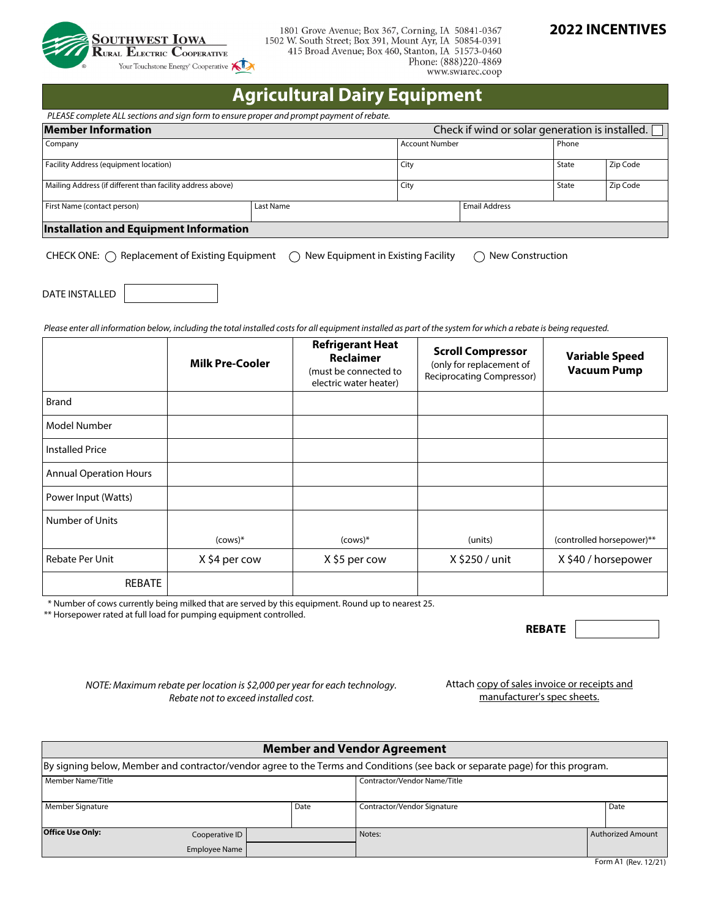

1801 Grove Avenue; Box 367, Corning, IA 50841-0367<br>1502 W. South Street; Box 391, Mount Ayr, IA 50854-0391 415 Broad Avenue; Box 460, Stanton, IA 51573-0460 Phone: (888)220-4869 www.swiarec.coop

## **2022 INCENTIVES**

# **Agricultural Dairy Equipment**

 *PLEASE complete ALL sections and sign form to ensure proper and prompt payment of rebate.*

| <b>Member Information</b>                                  | Check if wind or solar generation is installed. |                       |                      |       |          |
|------------------------------------------------------------|-------------------------------------------------|-----------------------|----------------------|-------|----------|
| Company                                                    |                                                 | <b>Account Number</b> |                      | Phone |          |
| Facility Address (equipment location)                      |                                                 | City                  |                      | State | Zip Code |
| Mailing Address (if different than facility address above) |                                                 | City                  |                      | State | Zip Code |
| First Name (contact person)                                | Last Name                                       |                       | <b>Email Address</b> |       |          |
| Installation and Equipment Information                     |                                                 |                       |                      |       |          |

CHECK ONE:  $\bigcap$  Replacement of Existing Equipment  $\bigcap$  New Equipment in Existing Facility  $\bigcap$  New Construction

DATE INSTALLED

*Please enter all information below, including the total installed costs for all equipment installed as part of the system for which a rebate is being requested.*

|                               | <b>Milk Pre-Cooler</b> | <b>Refrigerant Heat</b><br><b>Reclaimer</b><br>(must be connected to<br>electric water heater) | <b>Scroll Compressor</b><br>(only for replacement of<br><b>Reciprocating Compressor)</b> | <b>Variable Speed</b><br><b>Vacuum Pump</b> |
|-------------------------------|------------------------|------------------------------------------------------------------------------------------------|------------------------------------------------------------------------------------------|---------------------------------------------|
| <b>Brand</b>                  |                        |                                                                                                |                                                                                          |                                             |
| Model Number                  |                        |                                                                                                |                                                                                          |                                             |
| <b>Installed Price</b>        |                        |                                                                                                |                                                                                          |                                             |
| <b>Annual Operation Hours</b> |                        |                                                                                                |                                                                                          |                                             |
| Power Input (Watts)           |                        |                                                                                                |                                                                                          |                                             |
| Number of Units               |                        |                                                                                                |                                                                                          |                                             |
|                               | $(cows)*$              | $(cows)*$                                                                                      | (units)                                                                                  | (controlled horsepower)**                   |
| <b>Rebate Per Unit</b>        | X \$4 per cow          | X \$5 per cow                                                                                  | X \$250 / unit                                                                           | X \$40 / horsepower                         |
| <b>REBATE</b>                 |                        |                                                                                                |                                                                                          |                                             |

\* Number of cows currently being milked that are served by this equipment. Round up to nearest 25.

\*\* Horsepower rated at full load for pumping equipment controlled.

**REBATE**

*NOTE: Maximum rebate per location is \$2,000 per year for each technology. Rebate not to exceed installed cost.*

Attach copy of sales invoice or receipts and manufacturer's spec sheets.

| <b>Member and Vendor Agreement</b>                                                                                             |                |  |      |                              |  |                          |  |  |  |
|--------------------------------------------------------------------------------------------------------------------------------|----------------|--|------|------------------------------|--|--------------------------|--|--|--|
| By signing below, Member and contractor/vendor agree to the Terms and Conditions (see back or separate page) for this program. |                |  |      |                              |  |                          |  |  |  |
| Member Name/Title                                                                                                              |                |  |      | Contractor/Vendor Name/Title |  |                          |  |  |  |
| Member Signature                                                                                                               |                |  | Date | Contractor/Vendor Signature  |  | Date                     |  |  |  |
| <b>Office Use Only:</b>                                                                                                        | Cooperative ID |  |      | Notes:                       |  | <b>Authorized Amount</b> |  |  |  |
|                                                                                                                                | Employee Name  |  |      |                              |  |                          |  |  |  |